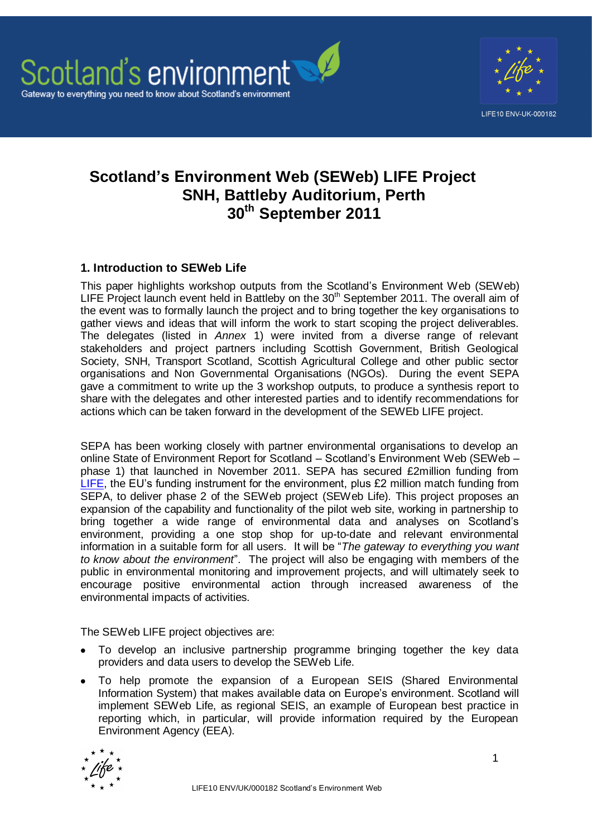

# **Scotland's Environment Web (SEWeb) LIFE Project SNH, Battleby Auditorium, Perth 30th September 2011**

# **1. Introduction to SEWeb Life**

This paper highlights workshop outputs from the Scotland"s Environment Web (SEWeb) LIFE Project launch event held in Battleby on the  $30<sup>th</sup>$  September 2011. The overall aim of the event was to formally launch the project and to bring together the key organisations to gather views and ideas that will inform the work to start scoping the project deliverables. The delegates (listed in *Annex* 1) were invited from a diverse range of relevant stakeholders and project partners including Scottish Government, British Geological Society, SNH, Transport Scotland, Scottish Agricultural College and other public sector organisations and Non Governmental Organisations (NGOs). During the event SEPA gave a commitment to write up the 3 workshop outputs, to produce a synthesis report to share with the delegates and other interested parties and to identify recommendations for actions which can be taken forward in the development of the SEWEb LIFE project.

SEPA has been working closely with partner environmental organisations to develop an online State of Environment Report for Scotland – Scotland"s Environment Web (SEWeb – phase 1) that launched in November 2011. SEPA has secured £2million funding from [LIFE,](http://ec.europa.eu/environment/life/about/index.htm) the EU's funding instrument for the environment, plus £2 million match funding from SEPA, to deliver phase 2 of the SEWeb project (SEWeb Life). This project proposes an expansion of the capability and functionality of the pilot web site, working in partnership to bring together a wide range of environmental data and analyses on Scotland"s environment, providing a one stop shop for up-to-date and relevant environmental information in a suitable form for all users. It will be "*The gateway to everything you want to know about the environment*". The project will also be engaging with members of the public in environmental monitoring and improvement projects, and will ultimately seek to encourage positive environmental action through increased awareness of the environmental impacts of activities.

The SEWeb LIFE project objectives are:

- To develop an inclusive partnership programme bringing together the key data providers and data users to develop the SEWeb Life.
- To help promote the expansion of a European SEIS (Shared Environmental Information System) that makes available data on Europe"s environment. Scotland will implement SEWeb Life, as regional SEIS, an example of European best practice in reporting which, in particular, will provide information required by the European Environment Agency (EEA).

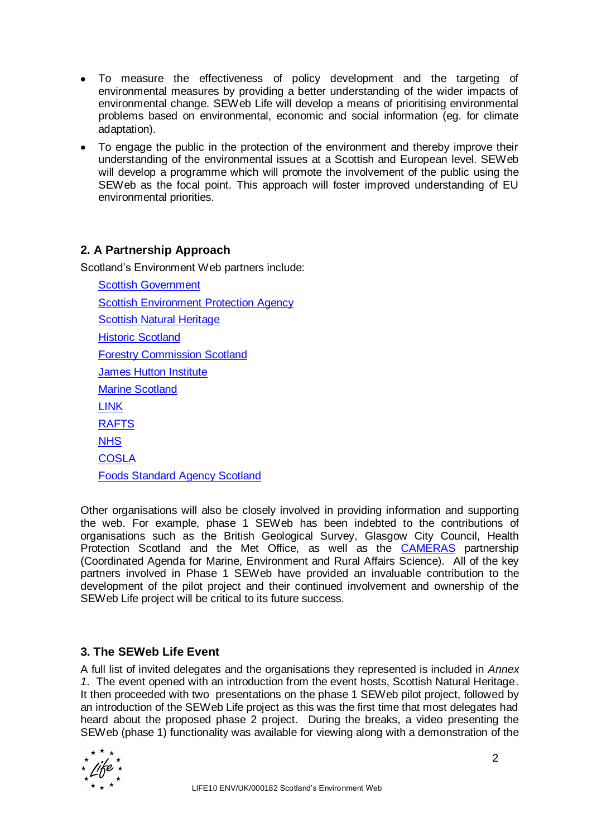- To measure the effectiveness of policy development and the targeting of environmental measures by providing a better understanding of the wider impacts of environmental change. SEWeb Life will develop a means of prioritising environmental problems based on environmental, economic and social information (eg. for climate adaptation).
- To engage the public in the protection of the environment and thereby improve their understanding of the environmental issues at a Scottish and European level. SEWeb will develop a programme which will promote the involvement of the public using the SEWeb as the focal point. This approach will foster improved understanding of EU environmental priorities.

# **2. A Partnership Approach**

Scotland"s Environment Web partners include:

[Scottish Government](http://home.scotland.gov.uk/home) [Scottish Environment Protection Agency](http://www.sepa.org.uk/) **[Scottish Natural Heritage](http://www.snh.gov.uk/)** [Historic Scotland](http://www.historic-scotland.gov.uk/) [Forestry Commission Scotland](http://www.forestry.gov.uk/scotland) [James Hutton Institute](http://www.hutton.ac.uk/) [Marine Scotland](http://www.scotland.gov.uk/About/Directorates/marinescotland) [LINK](http://www.scotlink.org/) [RAFTS](http://www.rafts.org.uk/) **[NHS](http://www.scotland.gov.uk/Topics/Health/NHS-Scotland) [COSLA](http://www.cosla.gov.uk/)** [Foods Standard Agency Scotland](http://www.food.gov.uk/scotland/)

Other organisations will also be closely involved in providing information and supporting the web. For example, phase 1 SEWeb has been indebted to the contributions of organisations such as the British Geological Survey, Glasgow City Council, Health Protection Scotland and the Met Office, as well as the **[CAMERAS](http://www.camerasscotland.org/)** partnership (Coordinated Agenda for Marine, Environment and Rural Affairs Science). All of the key partners involved in Phase 1 SEWeb have provided an invaluable contribution to the development of the pilot project and their continued involvement and ownership of the SEWeb Life project will be critical to its future success.

## **3. The SEWeb Life Event**

A full list of invited delegates and the organisations they represented is included in *Annex 1*. The event opened with an introduction from the event hosts, Scottish Natural Heritage. It then proceeded with two presentations on the phase 1 SEWeb pilot project, followed by an introduction of the SEWeb Life project as this was the first time that most delegates had heard about the proposed phase 2 project. During the breaks, a video presenting the SEWeb (phase 1) functionality was available for viewing along with a demonstration of the

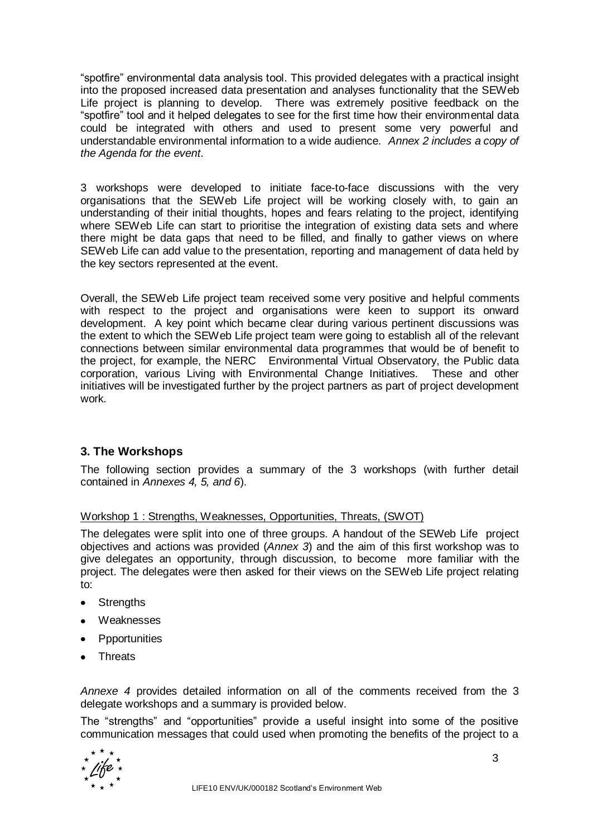"spotfire" environmental data analysis tool. This provided delegates with a practical insight into the proposed increased data presentation and analyses functionality that the SEWeb Life project is planning to develop. There was extremely positive feedback on the "spotfire" tool and it helped delegates to see for the first time how their environmental data could be integrated with others and used to present some very powerful and understandable environmental information to a wide audience. *Annex 2 includes a copy of the Agenda for the event*.

3 workshops were developed to initiate face-to-face discussions with the very organisations that the SEWeb Life project will be working closely with, to gain an understanding of their initial thoughts, hopes and fears relating to the project, identifying where SEWeb Life can start to prioritise the integration of existing data sets and where there might be data gaps that need to be filled, and finally to gather views on where SEWeb Life can add value to the presentation, reporting and management of data held by the key sectors represented at the event.

Overall, the SEWeb Life project team received some very positive and helpful comments with respect to the project and organisations were keen to support its onward development. A key point which became clear during various pertinent discussions was the extent to which the SEWeb Life project team were going to establish all of the relevant connections between similar environmental data programmes that would be of benefit to the project, for example, the NERC Environmental Virtual Observatory, the Public data corporation, various Living with Environmental Change Initiatives. These and other initiatives will be investigated further by the project partners as part of project development work.

# **3. The Workshops**

The following section provides a summary of the 3 workshops (with further detail contained in *Annexes 4, 5, and 6*).

### Workshop 1 : Strengths, Weaknesses, Opportunities, Threats, (SWOT)

The delegates were split into one of three groups. A handout of the SEWeb Life project objectives and actions was provided (*Annex 3*) and the aim of this first workshop was to give delegates an opportunity, through discussion, to become more familiar with the project. The delegates were then asked for their views on the SEWeb Life project relating to:

- Strengths
- Weaknesses
- Ppportunities
- Threats

*Annexe 4* provides detailed information on all of the comments received from the 3 delegate workshops and a summary is provided below.

The "strengths" and "opportunities" provide a useful insight into some of the positive communication messages that could used when promoting the benefits of the project to a

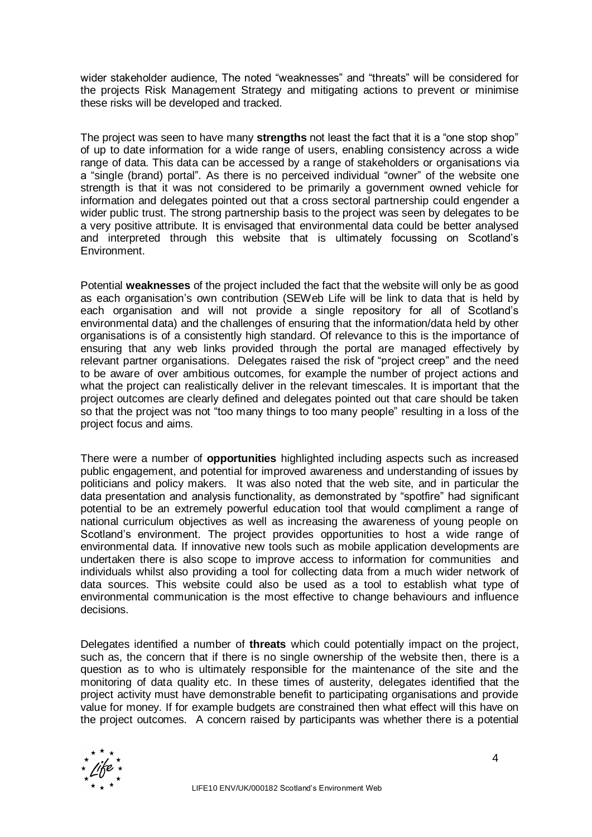wider stakeholder audience, The noted "weaknesses" and "threats" will be considered for the projects Risk Management Strategy and mitigating actions to prevent or minimise these risks will be developed and tracked.

The project was seen to have many **strengths** not least the fact that it is a "one stop shop" of up to date information for a wide range of users, enabling consistency across a wide range of data. This data can be accessed by a range of stakeholders or organisations via a "single (brand) portal". As there is no perceived individual "owner" of the website one strength is that it was not considered to be primarily a government owned vehicle for information and delegates pointed out that a cross sectoral partnership could engender a wider public trust. The strong partnership basis to the project was seen by delegates to be a very positive attribute. It is envisaged that environmental data could be better analysed and interpreted through this website that is ultimately focussing on Scotland"s Environment.

Potential **weaknesses** of the project included the fact that the website will only be as good as each organisation's own contribution (SEWeb Life will be link to data that is held by each organisation and will not provide a single repository for all of Scotland"s environmental data) and the challenges of ensuring that the information/data held by other organisations is of a consistently high standard. Of relevance to this is the importance of ensuring that any web links provided through the portal are managed effectively by relevant partner organisations. Delegates raised the risk of "project creep" and the need to be aware of over ambitious outcomes, for example the number of project actions and what the project can realistically deliver in the relevant timescales. It is important that the project outcomes are clearly defined and delegates pointed out that care should be taken so that the project was not "too many things to too many people" resulting in a loss of the project focus and aims.

There were a number of **opportunities** highlighted including aspects such as increased public engagement, and potential for improved awareness and understanding of issues by politicians and policy makers. It was also noted that the web site, and in particular the data presentation and analysis functionality, as demonstrated by "spotfire" had significant potential to be an extremely powerful education tool that would compliment a range of national curriculum objectives as well as increasing the awareness of young people on Scotland"s environment. The project provides opportunities to host a wide range of environmental data. If innovative new tools such as mobile application developments are undertaken there is also scope to improve access to information for communities and individuals whilst also providing a tool for collecting data from a much wider network of data sources. This website could also be used as a tool to establish what type of environmental communication is the most effective to change behaviours and influence decisions.

Delegates identified a number of **threats** which could potentially impact on the project, such as, the concern that if there is no single ownership of the website then, there is a question as to who is ultimately responsible for the maintenance of the site and the monitoring of data quality etc. In these times of austerity, delegates identified that the project activity must have demonstrable benefit to participating organisations and provide value for money. If for example budgets are constrained then what effect will this have on the project outcomes. A concern raised by participants was whether there is a potential

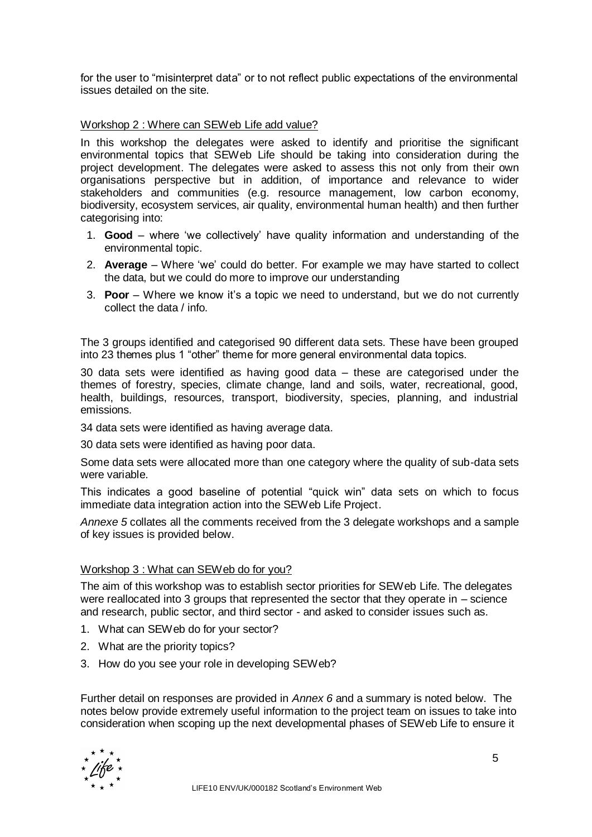for the user to "misinterpret data" or to not reflect public expectations of the environmental issues detailed on the site.

## Workshop 2 : Where can SEWeb Life add value?

In this workshop the delegates were asked to identify and prioritise the significant environmental topics that SEWeb Life should be taking into consideration during the project development. The delegates were asked to assess this not only from their own organisations perspective but in addition, of importance and relevance to wider stakeholders and communities (e.g. resource management, low carbon economy, biodiversity, ecosystem services, air quality, environmental human health) and then further categorising into:

- 1. **Good** where "we collectively" have quality information and understanding of the environmental topic.
- 2. **Average** Where "we" could do better. For example we may have started to collect the data, but we could do more to improve our understanding
- 3. **Poor**  Where we know it"s a topic we need to understand, but we do not currently collect the data / info.

The 3 groups identified and categorised 90 different data sets. These have been grouped into 23 themes plus 1 "other" theme for more general environmental data topics.

30 data sets were identified as having good data – these are categorised under the themes of forestry, species, climate change, land and soils, water, recreational, good, health, buildings, resources, transport, biodiversity, species, planning, and industrial emissions.

34 data sets were identified as having average data.

30 data sets were identified as having poor data.

Some data sets were allocated more than one category where the quality of sub-data sets were variable.

This indicates a good baseline of potential "quick win" data sets on which to focus immediate data integration action into the SEWeb Life Project.

*Annexe 5* collates all the comments received from the 3 delegate workshops and a sample of key issues is provided below.

### Workshop 3 : What can SEWeb do for you?

The aim of this workshop was to establish sector priorities for SEWeb Life. The delegates were reallocated into 3 groups that represented the sector that they operate in – science and research, public sector, and third sector - and asked to consider issues such as.

- 1. What can SEWeb do for your sector?
- 2. What are the priority topics?
- 3. How do you see your role in developing SEWeb?

Further detail on responses are provided in *Annex 6* and a summary is noted below. The notes below provide extremely useful information to the project team on issues to take into consideration when scoping up the next developmental phases of SEWeb Life to ensure it

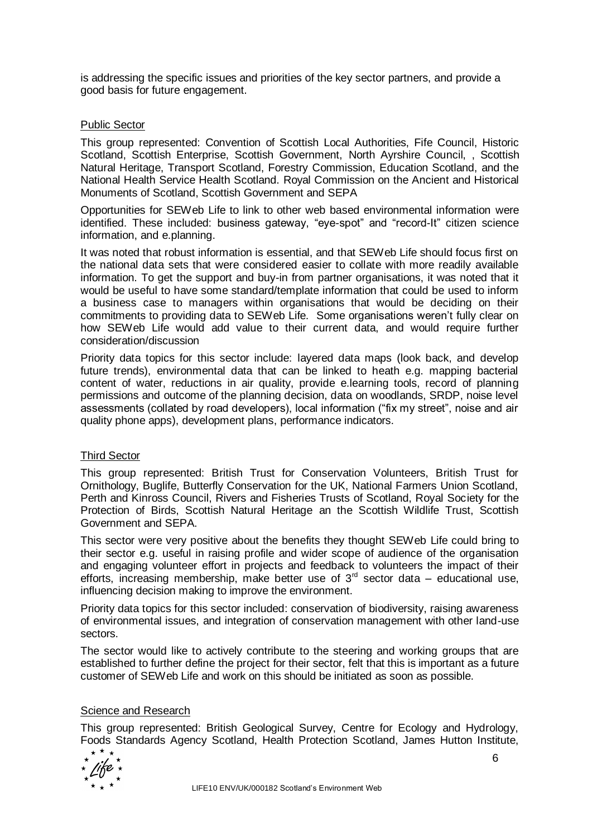is addressing the specific issues and priorities of the key sector partners, and provide a good basis for future engagement.

## Public Sector

This group represented: Convention of Scottish Local Authorities, Fife Council, Historic Scotland, Scottish Enterprise, Scottish Government, North Ayrshire Council, , Scottish Natural Heritage, Transport Scotland, Forestry Commission, Education Scotland, and the National Health Service Health Scotland. Royal Commission on the Ancient and Historical Monuments of Scotland, Scottish Government and SEPA

Opportunities for SEWeb Life to link to other web based environmental information were identified. These included: business gateway, "eye-spot" and "record-It" citizen science information, and e.planning.

It was noted that robust information is essential, and that SEWeb Life should focus first on the national data sets that were considered easier to collate with more readily available information. To get the support and buy-in from partner organisations, it was noted that it would be useful to have some standard/template information that could be used to inform a business case to managers within organisations that would be deciding on their commitments to providing data to SEWeb Life. Some organisations weren"t fully clear on how SEWeb Life would add value to their current data, and would require further consideration/discussion

Priority data topics for this sector include: layered data maps (look back, and develop future trends), environmental data that can be linked to heath e.g. mapping bacterial content of water, reductions in air quality, provide e.learning tools, record of planning permissions and outcome of the planning decision, data on woodlands, SRDP, noise level assessments (collated by road developers), local information ("fix my street", noise and air quality phone apps), development plans, performance indicators.

### Third Sector

This group represented: British Trust for Conservation Volunteers, British Trust for Ornithology, Buglife, Butterfly Conservation for the UK, National Farmers Union Scotland, Perth and Kinross Council, Rivers and Fisheries Trusts of Scotland, Royal Society for the Protection of Birds, Scottish Natural Heritage an the Scottish Wildlife Trust, Scottish Government and SEPA.

This sector were very positive about the benefits they thought SEWeb Life could bring to their sector e.g. useful in raising profile and wider scope of audience of the organisation and engaging volunteer effort in projects and feedback to volunteers the impact of their efforts, increasing membership, make better use of  $3<sup>rd</sup>$  sector data – educational use, influencing decision making to improve the environment.

Priority data topics for this sector included: conservation of biodiversity, raising awareness of environmental issues, and integration of conservation management with other land-use sectors.

The sector would like to actively contribute to the steering and working groups that are established to further define the project for their sector, felt that this is important as a future customer of SEWeb Life and work on this should be initiated as soon as possible.

### Science and Research

This group represented: British Geological Survey, Centre for Ecology and Hydrology, Foods Standards Agency Scotland, Health Protection Scotland, James Hutton Institute,

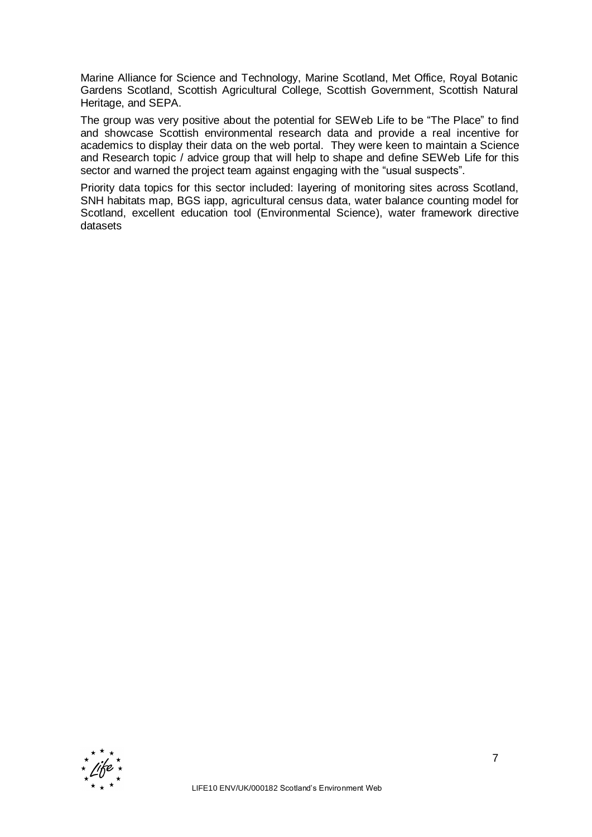Marine Alliance for Science and Technology, Marine Scotland, Met Office, Royal Botanic Gardens Scotland, Scottish Agricultural College, Scottish Government, Scottish Natural Heritage, and SEPA.

The group was very positive about the potential for SEWeb Life to be "The Place" to find and showcase Scottish environmental research data and provide a real incentive for academics to display their data on the web portal. They were keen to maintain a Science and Research topic / advice group that will help to shape and define SEWeb Life for this sector and warned the project team against engaging with the "usual suspects".

Priority data topics for this sector included: layering of monitoring sites across Scotland, SNH habitats map, BGS iapp, agricultural census data, water balance counting model for Scotland, excellent education tool (Environmental Science), water framework directive datasets

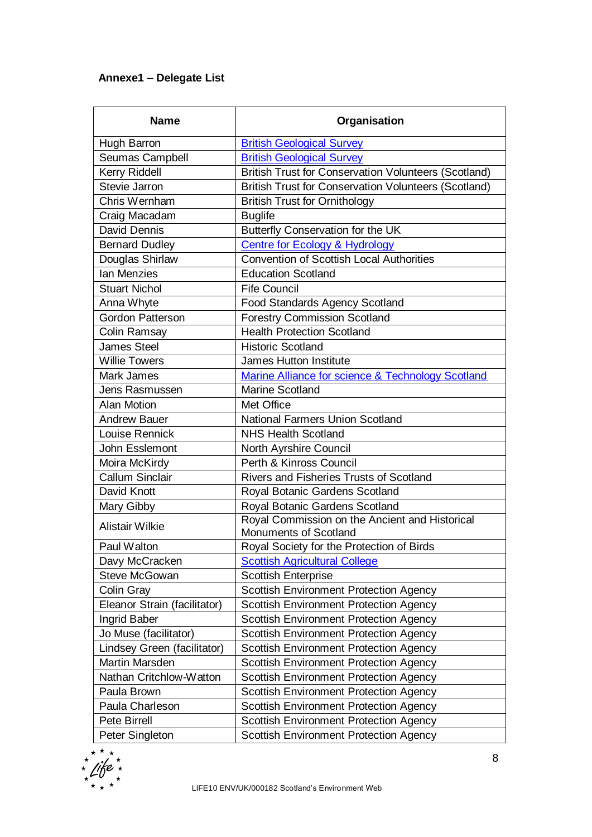# **Annexe1 – Delegate List**

| <b>Name</b>                  | Organisation                                                            |
|------------------------------|-------------------------------------------------------------------------|
| Hugh Barron                  | <b>British Geological Survey</b>                                        |
| Seumas Campbell              | <b>British Geological Survey</b>                                        |
| Kerry Riddell                | <b>British Trust for Conservation Volunteers (Scotland)</b>             |
| <b>Stevie Jarron</b>         | <b>British Trust for Conservation Volunteers (Scotland)</b>             |
| Chris Wernham                | <b>British Trust for Ornithology</b>                                    |
| Craig Macadam                | <b>Buglife</b>                                                          |
| <b>David Dennis</b>          | Butterfly Conservation for the UK                                       |
| <b>Bernard Dudley</b>        | <b>Centre for Ecology &amp; Hydrology</b>                               |
| Douglas Shirlaw              | <b>Convention of Scottish Local Authorities</b>                         |
| <b>Ian Menzies</b>           | <b>Education Scotland</b>                                               |
| <b>Stuart Nichol</b>         | <b>Fife Council</b>                                                     |
| Anna Whyte                   | <b>Food Standards Agency Scotland</b>                                   |
| <b>Gordon Patterson</b>      | <b>Forestry Commission Scotland</b>                                     |
| <b>Colin Ramsay</b>          | <b>Health Protection Scotland</b>                                       |
| <b>James Steel</b>           | <b>Historic Scotland</b>                                                |
| <b>Willie Towers</b>         | <b>James Hutton Institute</b>                                           |
| Mark James                   | Marine Alliance for science & Technology Scotland                       |
| Jens Rasmussen               | <b>Marine Scotland</b>                                                  |
| <b>Alan Motion</b>           | <b>Met Office</b>                                                       |
| <b>Andrew Bauer</b>          | <b>National Farmers Union Scotland</b>                                  |
| Louise Rennick               | <b>NHS Health Scotland</b>                                              |
| John Esslemont               | North Ayrshire Council                                                  |
| Moira McKirdy                | Perth & Kinross Council                                                 |
| <b>Callum Sinclair</b>       | <b>Rivers and Fisheries Trusts of Scotland</b>                          |
| David Knott                  | Royal Botanic Gardens Scotland                                          |
| Mary Gibby                   | Royal Botanic Gardens Scotland                                          |
| <b>Alistair Wilkie</b>       | Royal Commission on the Ancient and Historical<br>Monuments of Scotland |
| Paul Walton                  | Royal Society for the Protection of Birds                               |
| Davy McCracken               | <b>Scottish Agricultural College</b>                                    |
| Steve McGowan                | <b>Scottish Enterprise</b>                                              |
| <b>Colin Gray</b>            | <b>Scottish Environment Protection Agency</b>                           |
| Eleanor Strain (facilitator) | <b>Scottish Environment Protection Agency</b>                           |
| Ingrid Baber                 | <b>Scottish Environment Protection Agency</b>                           |
| Jo Muse (facilitator)        | <b>Scottish Environment Protection Agency</b>                           |
| Lindsey Green (facilitator)  | <b>Scottish Environment Protection Agency</b>                           |
| Martin Marsden               | <b>Scottish Environment Protection Agency</b>                           |
| Nathan Critchlow-Watton      | <b>Scottish Environment Protection Agency</b>                           |
| Paula Brown                  | <b>Scottish Environment Protection Agency</b>                           |
| Paula Charleson              | <b>Scottish Environment Protection Agency</b>                           |
| <b>Pete Birrell</b>          | Scottish Environment Protection Agency                                  |
| Peter Singleton              | <b>Scottish Environment Protection Agency</b>                           |

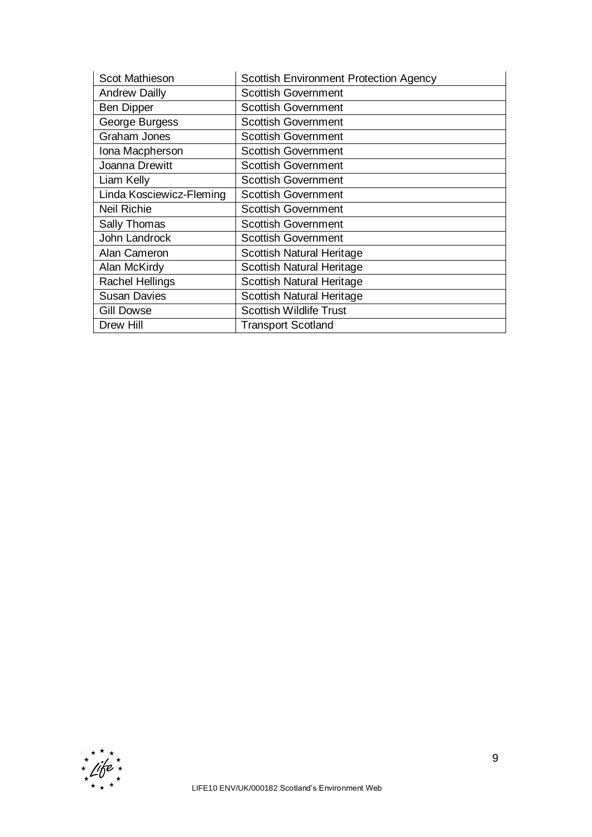| Scot Mathieson           | <b>Scottish Environment Protection Agency</b> |
|--------------------------|-----------------------------------------------|
| <b>Andrew Dailly</b>     | <b>Scottish Government</b>                    |
| <b>Ben Dipper</b>        | <b>Scottish Government</b>                    |
| George Burgess           | <b>Scottish Government</b>                    |
| <b>Graham Jones</b>      | <b>Scottish Government</b>                    |
| Iona Macpherson          | <b>Scottish Government</b>                    |
| Joanna Drewitt           | <b>Scottish Government</b>                    |
| Liam Kelly               | <b>Scottish Government</b>                    |
| Linda Kosciewicz-Fleming | <b>Scottish Government</b>                    |
| <b>Neil Richie</b>       | <b>Scottish Government</b>                    |
| Sally Thomas             | <b>Scottish Government</b>                    |
| John Landrock            | <b>Scottish Government</b>                    |
| Alan Cameron             | <b>Scottish Natural Heritage</b>              |
| Alan McKirdy             | Scottish Natural Heritage                     |
| <b>Rachel Hellings</b>   | Scottish Natural Heritage                     |
| <b>Susan Davies</b>      | <b>Scottish Natural Heritage</b>              |
| <b>Gill Dowse</b>        | <b>Scottish Wildlife Trust</b>                |
| Drew Hill                | <b>Transport Scotland</b>                     |

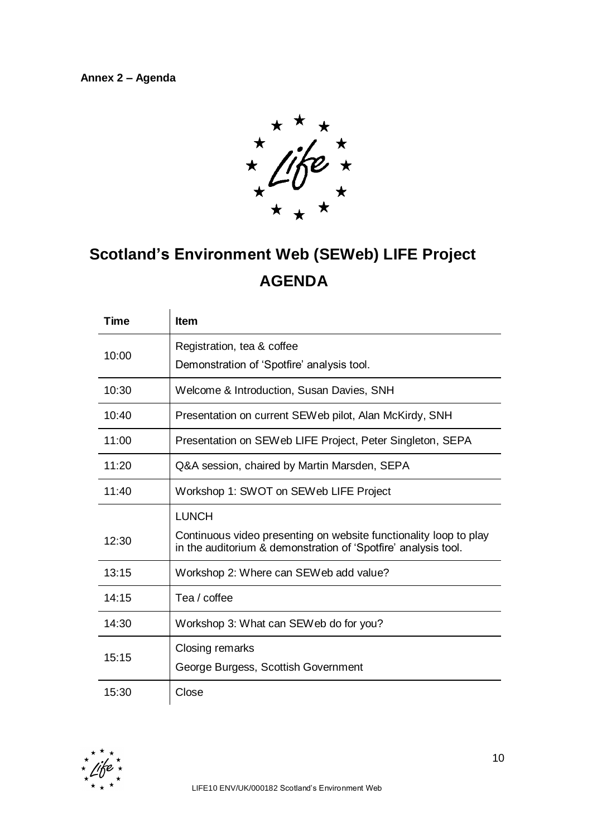**Annex 2 – Agenda**



# **Scotland's Environment Web (SEWeb) LIFE Project AGENDA**

| Time  | <b>Item</b>                                                                                                                         |
|-------|-------------------------------------------------------------------------------------------------------------------------------------|
|       | Registration, tea & coffee                                                                                                          |
| 10:00 | Demonstration of 'Spotfire' analysis tool.                                                                                          |
| 10:30 | Welcome & Introduction, Susan Davies, SNH                                                                                           |
| 10:40 | Presentation on current SEWeb pilot, Alan McKirdy, SNH                                                                              |
| 11:00 | Presentation on SEWeb LIFE Project, Peter Singleton, SEPA                                                                           |
| 11:20 | Q&A session, chaired by Martin Marsden, SEPA                                                                                        |
| 11:40 | Workshop 1: SWOT on SEWeb LIFE Project                                                                                              |
|       | <b>LUNCH</b>                                                                                                                        |
| 12:30 | Continuous video presenting on website functionality loop to play<br>in the auditorium & demonstration of 'Spotfire' analysis tool. |
| 13:15 | Workshop 2: Where can SEWeb add value?                                                                                              |
| 14:15 | Tea / coffee                                                                                                                        |
| 14:30 | Workshop 3: What can SEWeb do for you?                                                                                              |
| 15:15 | Closing remarks                                                                                                                     |
|       | George Burgess, Scottish Government                                                                                                 |
| 15:30 | Close                                                                                                                               |

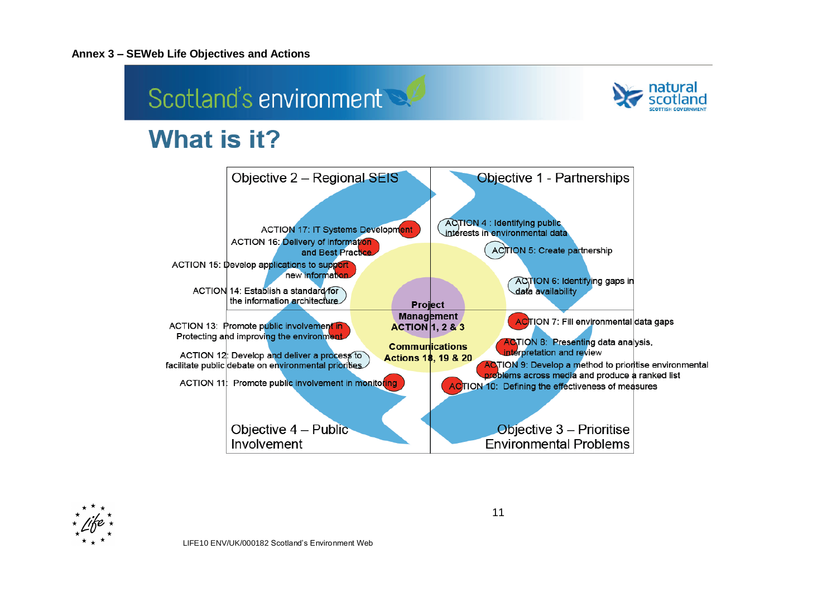#### **Annex 3 – SEWeb Life Objectives and Actions**





11

ACTION 10: Defining the effectiveness of measures

Objective 3 - Prioritise

**Environmental Problems** 

LIFE10 ENV/UK/000182 Scotland"s Environment Web

ACTION 11: Promote public involvement in monitoring

Objective 4 - Public

Involvement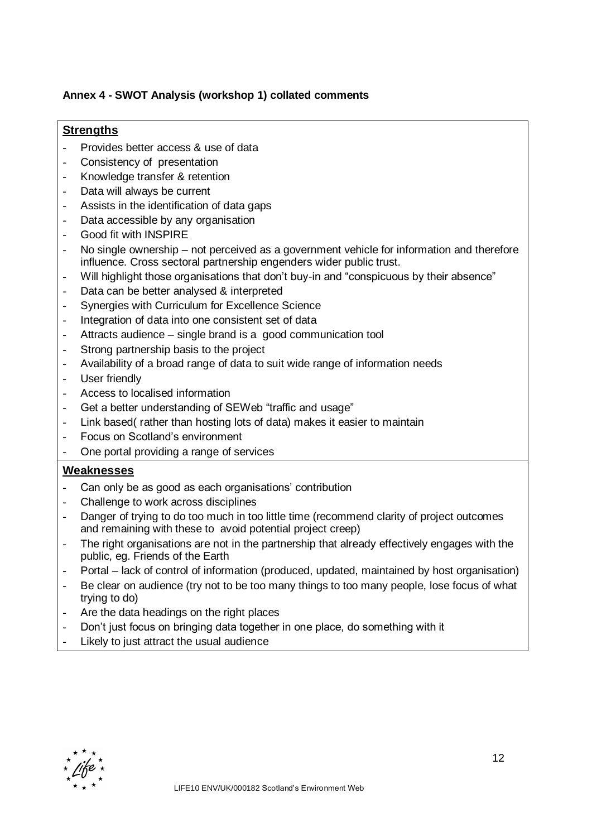## **Annex 4 - SWOT Analysis (workshop 1) collated comments**

## **Strengths**

- Provides better access & use of data
- Consistency of presentation
- Knowledge transfer & retention
- Data will always be current
- Assists in the identification of data gaps
- Data accessible by any organisation
- Good fit with INSPIRE
- No single ownership not perceived as a government vehicle for information and therefore influence. Cross sectoral partnership engenders wider public trust.
- Will highlight those organisations that don't buy-in and "conspicuous by their absence"
- Data can be better analysed & interpreted
- Synergies with Curriculum for Excellence Science
- Integration of data into one consistent set of data
- Attracts audience single brand is a good communication tool
- Strong partnership basis to the project
- Availability of a broad range of data to suit wide range of information needs
- User friendly
- Access to localised information
- Get a better understanding of SEWeb "traffic and usage"
- Link based( rather than hosting lots of data) makes it easier to maintain
- Focus on Scotland"s environment
- One portal providing a range of services

## **Weaknesses**

- Can only be as good as each organisations' contribution
- Challenge to work across disciplines
- Danger of trying to do too much in too little time (recommend clarity of project outcomes and remaining with these to avoid potential project creep)
- The right organisations are not in the partnership that already effectively engages with the public, eg. Friends of the Earth
- Portal lack of control of information (produced, updated, maintained by host organisation)
- Be clear on audience (try not to be too many things to too many people, lose focus of what trying to do)
- Are the data headings on the right places
- Don"t just focus on bringing data together in one place, do something with it
- Likely to just attract the usual audience

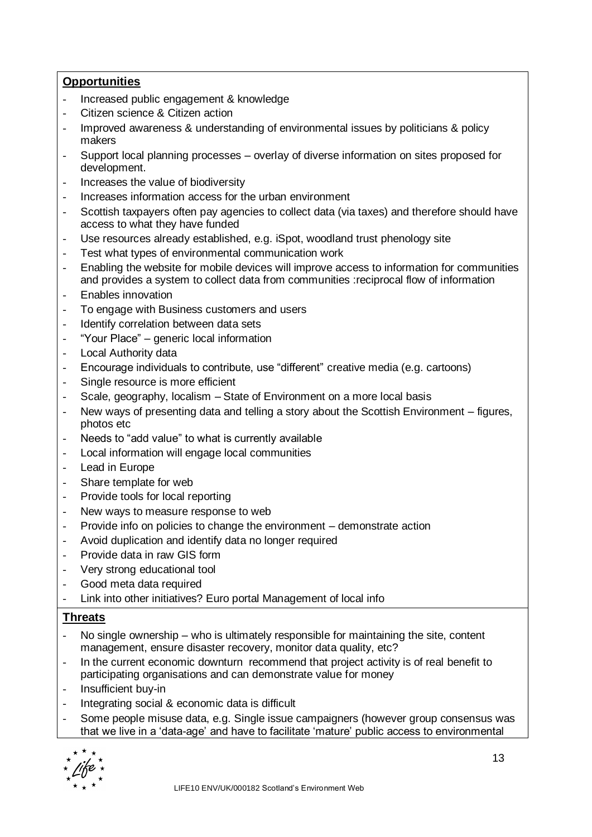# **Opportunities**

- Increased public engagement & knowledge
- Citizen science & Citizen action
- Improved awareness & understanding of environmental issues by politicians & policy makers
- Support local planning processes overlay of diverse information on sites proposed for development.
- Increases the value of biodiversity
- Increases information access for the urban environment
- Scottish taxpayers often pay agencies to collect data (via taxes) and therefore should have access to what they have funded
- Use resources already established, e.g. iSpot, woodland trust phenology site
- Test what types of environmental communication work
- Enabling the website for mobile devices will improve access to information for communities and provides a system to collect data from communities :reciprocal flow of information
- Enables innovation
- To engage with Business customers and users
- Identify correlation between data sets
- "Your Place" generic local information
- Local Authority data
- Encourage individuals to contribute, use "different" creative media (e.g. cartoons)
- Single resource is more efficient
- Scale, geography, localism State of Environment on a more local basis
- New ways of presenting data and telling a story about the Scottish Environment figures, photos etc
- Needs to "add value" to what is currently available
- Local information will engage local communities
- Lead in Europe
- Share template for web
- Provide tools for local reporting
- New ways to measure response to web
- Provide info on policies to change the environment demonstrate action
- Avoid duplication and identify data no longer required
- Provide data in raw GIS form
- Very strong educational tool
- Good meta data required
- Link into other initiatives? Euro portal Management of local info

# **Threats**

- No single ownership who is ultimately responsible for maintaining the site, content management, ensure disaster recovery, monitor data quality, etc?
- In the current economic downturn recommend that project activity is of real benefit to participating organisations and can demonstrate value for money
- Insufficient buy-in
- Integrating social & economic data is difficult
- Some people misuse data, e.g. Single issue campaigners (however group consensus was that we live in a "data-age" and have to facilitate "mature" public access to environmental

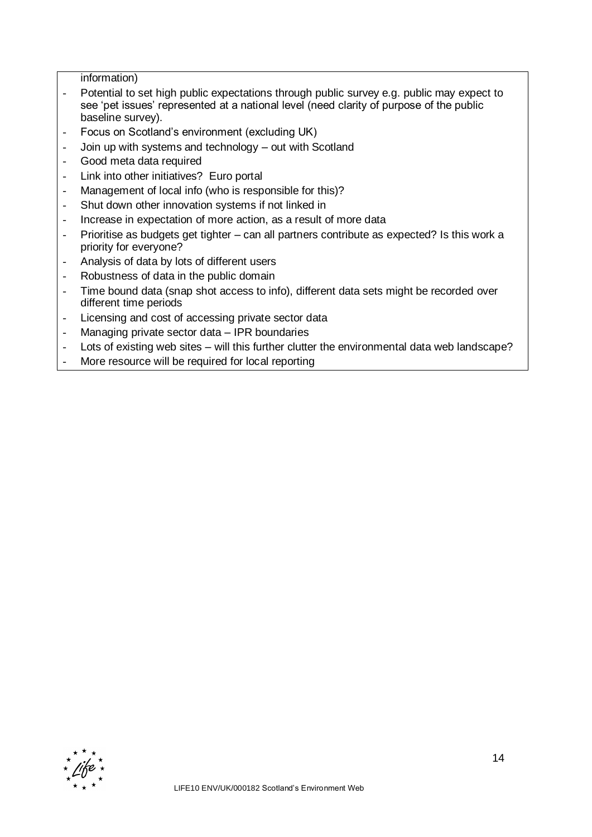information)

- Potential to set high public expectations through public survey e.g. public may expect to see 'pet issues' represented at a national level (need clarity of purpose of the public baseline survey).
- Focus on Scotland's environment (excluding UK)
- Join up with systems and technology out with Scotland
- Good meta data required
- Link into other initiatives? Euro portal
- Management of local info (who is responsible for this)?
- Shut down other innovation systems if not linked in
- Increase in expectation of more action, as a result of more data
- Prioritise as budgets get tighter can all partners contribute as expected? Is this work a priority for everyone?
- Analysis of data by lots of different users
- Robustness of data in the public domain
- Time bound data (snap shot access to info), different data sets might be recorded over different time periods
- Licensing and cost of accessing private sector data
- Managing private sector data IPR boundaries
- Lots of existing web sites will this further clutter the environmental data web landscape?
- More resource will be required for local reporting

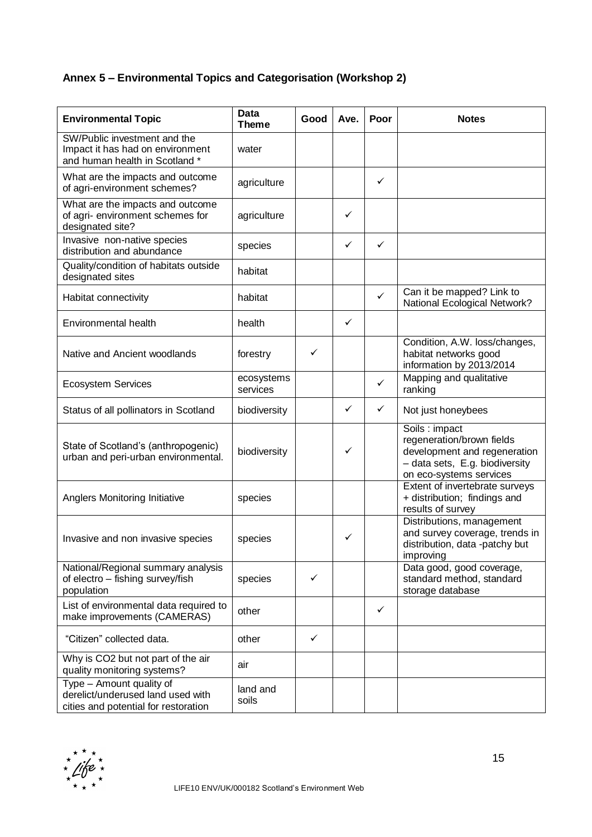# **Annex 5 – Environmental Topics and Categorisation (Workshop 2)**

| <b>Environmental Topic</b>                                                                                         | <b>Data</b><br><b>Theme</b> | Good | Ave.         | Poor         | <b>Notes</b>                                                                                                                                                                                              |
|--------------------------------------------------------------------------------------------------------------------|-----------------------------|------|--------------|--------------|-----------------------------------------------------------------------------------------------------------------------------------------------------------------------------------------------------------|
| SW/Public investment and the<br>Impact it has had on environment<br>and human health in Scotland *                 | water                       |      |              |              |                                                                                                                                                                                                           |
| What are the impacts and outcome<br>of agri-environment schemes?                                                   | agriculture                 |      |              | ✓            |                                                                                                                                                                                                           |
| What are the impacts and outcome<br>of agri- environment schemes for<br>designated site?                           | agriculture                 |      | ✓            |              |                                                                                                                                                                                                           |
| Invasive non-native species<br>distribution and abundance                                                          | species                     |      | ✓            | ✓            |                                                                                                                                                                                                           |
| Quality/condition of habitats outside<br>designated sites                                                          | habitat                     |      |              |              |                                                                                                                                                                                                           |
| Habitat connectivity                                                                                               | habitat                     |      |              | $\checkmark$ | Can it be mapped? Link to<br>National Ecological Network?                                                                                                                                                 |
| Environmental health                                                                                               | health                      |      | ✓            |              |                                                                                                                                                                                                           |
| Native and Ancient woodlands                                                                                       | forestry                    | ✓    |              |              | Condition, A.W. loss/changes,<br>habitat networks good<br>information by 2013/2014                                                                                                                        |
| <b>Ecosystem Services</b>                                                                                          | ecosystems<br>services      |      |              | ✓            | Mapping and qualitative<br>ranking                                                                                                                                                                        |
| Status of all pollinators in Scotland                                                                              | biodiversity                |      | ✓            | ✓            | Not just honeybees                                                                                                                                                                                        |
| State of Scotland's (anthropogenic)<br>urban and peri-urban environmental.<br><b>Anglers Monitoring Initiative</b> | biodiversity<br>species     |      | ✓            |              | Soils: impact<br>regeneration/brown fields<br>development and regeneration<br>- data sets, E.g. biodiversity<br>on eco-systems services<br>Extent of invertebrate surveys<br>+ distribution; findings and |
|                                                                                                                    |                             |      |              |              | results of survey<br>Distributions, management                                                                                                                                                            |
| Invasive and non invasive species                                                                                  | species                     |      | $\checkmark$ |              | and survey coverage, trends in<br>distribution, data -patchy but<br>improving                                                                                                                             |
| National/Regional summary analysis<br>of electro - fishing survey/fish<br>population                               | species                     | ✓    |              |              | Data good, good coverage,<br>standard method, standard<br>storage database                                                                                                                                |
| List of environmental data required to<br>make improvements (CAMERAS)                                              | other                       |      |              | ✓            |                                                                                                                                                                                                           |
| "Citizen" collected data.                                                                                          | other                       | ✓    |              |              |                                                                                                                                                                                                           |
| Why is CO2 but not part of the air<br>quality monitoring systems?                                                  | air                         |      |              |              |                                                                                                                                                                                                           |
| Type - Amount quality of<br>derelict/underused land used with<br>cities and potential for restoration              | land and<br>soils           |      |              |              |                                                                                                                                                                                                           |

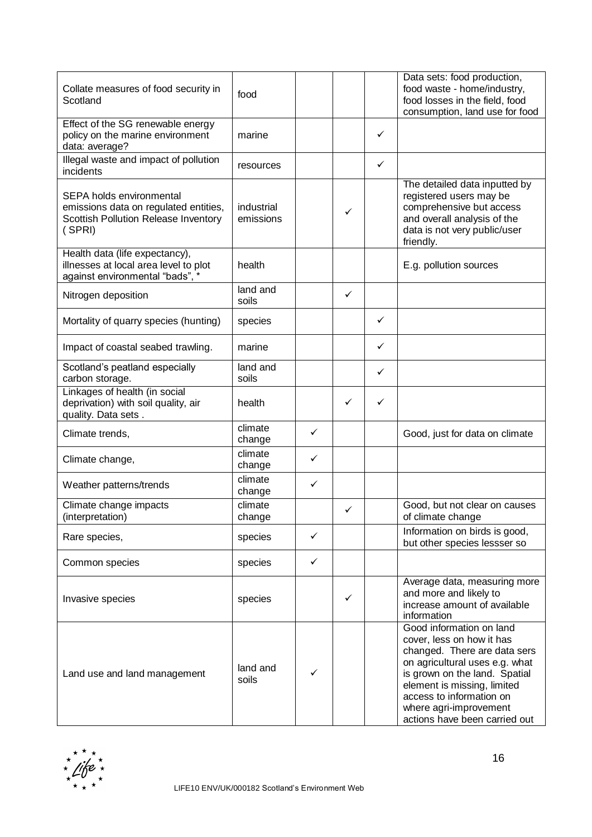| Collate measures of food security in<br>Scotland                                                                    | food                    |   |   |              | Data sets: food production,<br>food waste - home/industry,<br>food losses in the field, food<br>consumption, land use for food                                                                                                                                                 |
|---------------------------------------------------------------------------------------------------------------------|-------------------------|---|---|--------------|--------------------------------------------------------------------------------------------------------------------------------------------------------------------------------------------------------------------------------------------------------------------------------|
| Effect of the SG renewable energy<br>policy on the marine environment<br>data: average?                             | marine                  |   |   | $\checkmark$ |                                                                                                                                                                                                                                                                                |
| Illegal waste and impact of pollution<br>incidents                                                                  | resources               |   |   | $\checkmark$ |                                                                                                                                                                                                                                                                                |
| SEPA holds environmental<br>emissions data on regulated entities,<br>Scottish Pollution Release Inventory<br>(SPRI) | industrial<br>emissions |   | ✓ |              | The detailed data inputted by<br>registered users may be<br>comprehensive but access<br>and overall analysis of the<br>data is not very public/user<br>friendly.                                                                                                               |
| Health data (life expectancy),<br>illnesses at local area level to plot<br>against environmental "bads", *          | health                  |   |   |              | E.g. pollution sources                                                                                                                                                                                                                                                         |
| Nitrogen deposition                                                                                                 | land and<br>soils       |   | ✓ |              |                                                                                                                                                                                                                                                                                |
| Mortality of quarry species (hunting)                                                                               | species                 |   |   | $\checkmark$ |                                                                                                                                                                                                                                                                                |
| Impact of coastal seabed trawling.                                                                                  | marine                  |   |   | $\checkmark$ |                                                                                                                                                                                                                                                                                |
| Scotland's peatland especially<br>carbon storage.                                                                   | land and<br>soils       |   |   | ✓            |                                                                                                                                                                                                                                                                                |
| Linkages of health (in social<br>deprivation) with soil quality, air<br>quality. Data sets.                         | health                  |   | ✓ | $\checkmark$ |                                                                                                                                                                                                                                                                                |
| Climate trends,                                                                                                     | climate<br>change       | ✓ |   |              | Good, just for data on climate                                                                                                                                                                                                                                                 |
| Climate change,                                                                                                     | climate<br>change       | ✓ |   |              |                                                                                                                                                                                                                                                                                |
| Weather patterns/trends                                                                                             | climate<br>change       | ✓ |   |              |                                                                                                                                                                                                                                                                                |
| Climate change impacts<br>(interpretation)                                                                          | climate<br>change       |   | ✓ |              | Good, but not clear on causes<br>of climate change                                                                                                                                                                                                                             |
| Rare species,                                                                                                       | species                 | ✓ |   |              | Information on birds is good,<br>but other species lessser so                                                                                                                                                                                                                  |
| Common species                                                                                                      | species                 | ✓ |   |              |                                                                                                                                                                                                                                                                                |
| Invasive species                                                                                                    | species                 |   | ✓ |              | Average data, measuring more<br>and more and likely to<br>increase amount of available<br>information                                                                                                                                                                          |
| Land use and land management                                                                                        | land and<br>soils       |   |   |              | Good information on land<br>cover, less on how it has<br>changed. There are data sers<br>on agricultural uses e.g. what<br>is grown on the land. Spatial<br>element is missing, limited<br>access to information on<br>where agri-improvement<br>actions have been carried out |

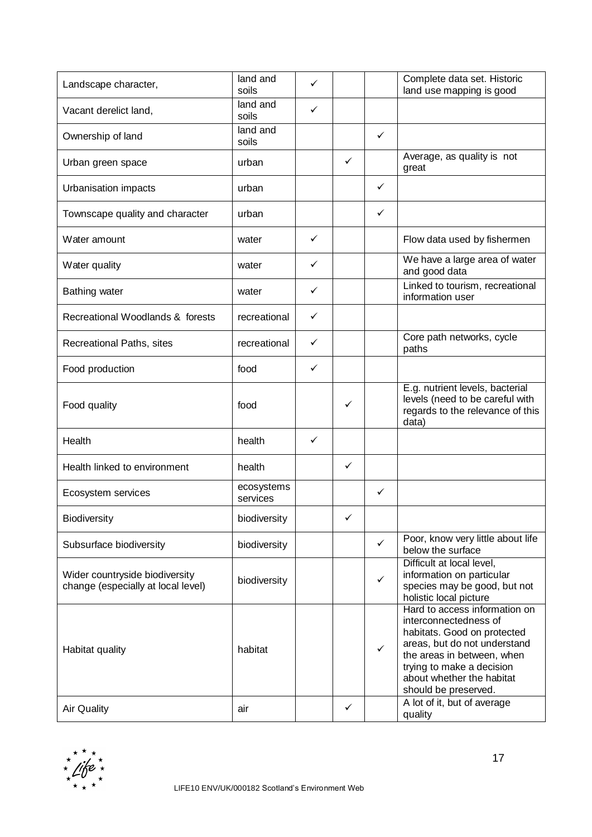| Landscape character,                                                 | land and<br>soils      | ✓ |              |              | Complete data set. Historic<br>land use mapping is good                                                                                                                                                                                                              |
|----------------------------------------------------------------------|------------------------|---|--------------|--------------|----------------------------------------------------------------------------------------------------------------------------------------------------------------------------------------------------------------------------------------------------------------------|
| Vacant derelict land,                                                | land and<br>soils      | ✓ |              |              |                                                                                                                                                                                                                                                                      |
| Ownership of land                                                    | land and<br>soils      |   |              | $\checkmark$ |                                                                                                                                                                                                                                                                      |
| Urban green space                                                    | urban                  |   | ✓            |              | Average, as quality is not<br>great                                                                                                                                                                                                                                  |
| Urbanisation impacts                                                 | urban                  |   |              | ✓            |                                                                                                                                                                                                                                                                      |
| Townscape quality and character                                      | urban                  |   |              | $\checkmark$ |                                                                                                                                                                                                                                                                      |
| Water amount                                                         | water                  | ✓ |              |              | Flow data used by fishermen                                                                                                                                                                                                                                          |
| Water quality                                                        | water                  | ✓ |              |              | We have a large area of water<br>and good data                                                                                                                                                                                                                       |
| <b>Bathing water</b>                                                 | water                  | ✓ |              |              | Linked to tourism, recreational<br>information user                                                                                                                                                                                                                  |
| Recreational Woodlands & forests                                     | recreational           | ✓ |              |              |                                                                                                                                                                                                                                                                      |
| Recreational Paths, sites                                            | recreational           | ✓ |              |              | Core path networks, cycle<br>paths                                                                                                                                                                                                                                   |
| Food production                                                      | food                   | ✓ |              |              |                                                                                                                                                                                                                                                                      |
| Food quality                                                         | food                   |   | ✓            |              | E.g. nutrient levels, bacterial<br>levels (need to be careful with<br>regards to the relevance of this<br>data)                                                                                                                                                      |
| Health                                                               | health                 | ✓ |              |              |                                                                                                                                                                                                                                                                      |
| Health linked to environment                                         | health                 |   | ✓            |              |                                                                                                                                                                                                                                                                      |
| Ecosystem services                                                   | ecosystems<br>services |   |              | ✓            |                                                                                                                                                                                                                                                                      |
| <b>Biodiversity</b>                                                  | biodiversity           |   | $\checkmark$ |              |                                                                                                                                                                                                                                                                      |
| Subsurface biodiversity                                              | biodiversity           |   |              | $\checkmark$ | Poor, know very little about life<br>below the surface                                                                                                                                                                                                               |
| Wider countryside biodiversity<br>change (especially at local level) | biodiversity           |   |              | ✓            | Difficult at local level,<br>information on particular<br>species may be good, but not<br>holistic local picture                                                                                                                                                     |
| Habitat quality                                                      | habitat                |   |              | $\checkmark$ | Hard to access information on<br>interconnectedness of<br>habitats. Good on protected<br>areas, but do not understand<br>the areas in between, when<br>trying to make a decision<br>about whether the habitat<br>should be preserved.<br>A lot of it, but of average |
| <b>Air Quality</b>                                                   | air                    |   | ✓            |              | quality                                                                                                                                                                                                                                                              |

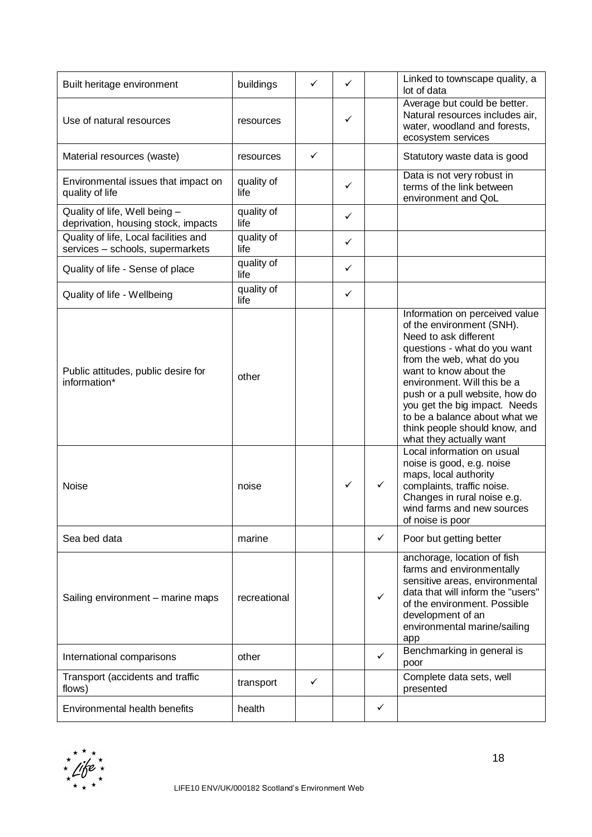| Built heritage environment                                                | buildings          | ✓            | ✓            |              | Linked to townscape quality, a<br>lot of data                                                                                                                                                                                                                                                                                                                                                                                                                                                                                                                                 |
|---------------------------------------------------------------------------|--------------------|--------------|--------------|--------------|-------------------------------------------------------------------------------------------------------------------------------------------------------------------------------------------------------------------------------------------------------------------------------------------------------------------------------------------------------------------------------------------------------------------------------------------------------------------------------------------------------------------------------------------------------------------------------|
| Use of natural resources                                                  | resources          |              | ✓            |              | Average but could be better.<br>Natural resources includes air,<br>water, woodland and forests,<br>ecosystem services                                                                                                                                                                                                                                                                                                                                                                                                                                                         |
| Material resources (waste)                                                | resources          | ✓            |              |              | Statutory waste data is good                                                                                                                                                                                                                                                                                                                                                                                                                                                                                                                                                  |
| Environmental issues that impact on<br>quality of life                    | quality of<br>life |              | ✓            |              | Data is not very robust in<br>terms of the link between<br>environment and QoL                                                                                                                                                                                                                                                                                                                                                                                                                                                                                                |
| Quality of life, Well being -<br>deprivation, housing stock, impacts      | quality of<br>life |              | $\checkmark$ |              |                                                                                                                                                                                                                                                                                                                                                                                                                                                                                                                                                                               |
| Quality of life, Local facilities and<br>services - schools, supermarkets | quality of<br>life |              | $\checkmark$ |              |                                                                                                                                                                                                                                                                                                                                                                                                                                                                                                                                                                               |
| Quality of life - Sense of place                                          | quality of<br>life |              | $\checkmark$ |              |                                                                                                                                                                                                                                                                                                                                                                                                                                                                                                                                                                               |
| Quality of life - Wellbeing                                               | quality of<br>life |              | $\checkmark$ |              |                                                                                                                                                                                                                                                                                                                                                                                                                                                                                                                                                                               |
| Public attitudes, public desire for<br>information*<br>Noise              | other<br>noise     |              | $\checkmark$ | $\checkmark$ | Information on perceived value<br>of the environment (SNH).<br>Need to ask different<br>questions - what do you want<br>from the web, what do you<br>want to know about the<br>environment. Will this be a<br>push or a pull website, how do<br>you get the big impact. Needs<br>to be a balance about what we<br>think people should know, and<br>what they actually want<br>Local information on usual<br>noise is good, e.g. noise<br>maps, local authority<br>complaints, traffic noise.<br>Changes in rural noise e.g.<br>wind farms and new sources<br>of noise is poor |
| Sea bed data                                                              | marine             |              |              | ✓            | Poor but getting better                                                                                                                                                                                                                                                                                                                                                                                                                                                                                                                                                       |
| Sailing environment - marine maps                                         | recreational       |              |              | ✓            | anchorage, location of fish<br>farms and environmentally<br>sensitive areas, environmental<br>data that will inform the "users"<br>of the environment. Possible<br>development of an<br>environmental marine/sailing<br>app                                                                                                                                                                                                                                                                                                                                                   |
| International comparisons                                                 | other              |              |              | ✓            | Benchmarking in general is<br>poor                                                                                                                                                                                                                                                                                                                                                                                                                                                                                                                                            |
| Transport (accidents and traffic<br>flows)                                | transport          | $\checkmark$ |              |              | Complete data sets, well<br>presented                                                                                                                                                                                                                                                                                                                                                                                                                                                                                                                                         |
| Environmental health benefits                                             | health             |              |              | ✓            |                                                                                                                                                                                                                                                                                                                                                                                                                                                                                                                                                                               |

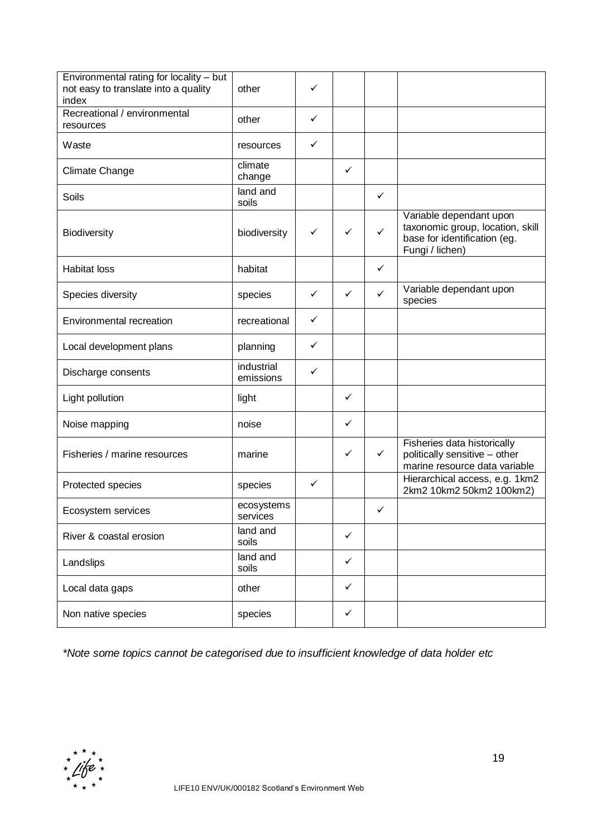| Environmental rating for locality - but<br>not easy to translate into a quality<br>index | other                   | ✓            |              |              |                                                                                                                |
|------------------------------------------------------------------------------------------|-------------------------|--------------|--------------|--------------|----------------------------------------------------------------------------------------------------------------|
| Recreational / environmental<br>resources                                                | other                   | $\checkmark$ |              |              |                                                                                                                |
| Waste                                                                                    | resources               | ✓            |              |              |                                                                                                                |
| Climate Change                                                                           | climate<br>change       |              | $\checkmark$ |              |                                                                                                                |
| Soils                                                                                    | land and<br>soils       |              |              | $\checkmark$ |                                                                                                                |
| <b>Biodiversity</b>                                                                      | biodiversity            | ✓            | ✓            | $\checkmark$ | Variable dependant upon<br>taxonomic group, location, skill<br>base for identification (eg.<br>Fungi / lichen) |
| <b>Habitat loss</b>                                                                      | habitat                 |              |              | ✓            |                                                                                                                |
| Species diversity                                                                        | species                 | $\checkmark$ | $\checkmark$ | $\checkmark$ | Variable dependant upon<br>species                                                                             |
| Environmental recreation                                                                 | recreational            | $\checkmark$ |              |              |                                                                                                                |
| Local development plans                                                                  | planning                | $\checkmark$ |              |              |                                                                                                                |
| Discharge consents                                                                       | industrial<br>emissions | ✓            |              |              |                                                                                                                |
| Light pollution                                                                          | light                   |              | $\checkmark$ |              |                                                                                                                |
| Noise mapping                                                                            | noise                   |              | $\checkmark$ |              |                                                                                                                |
| Fisheries / marine resources                                                             | marine                  |              | $\checkmark$ | $\checkmark$ | Fisheries data historically<br>politically sensitive - other<br>marine resource data variable                  |
| Protected species                                                                        | species                 | $\checkmark$ |              |              | Hierarchical access, e.g. 1km2<br>2km2 10km2 50km2 100km2)                                                     |
| Ecosystem services                                                                       | ecosystems<br>services  |              |              | ✓            |                                                                                                                |
| River & coastal erosion                                                                  | land and<br>soils       |              | ✓            |              |                                                                                                                |
| Landslips                                                                                | land and<br>soils       |              | $\checkmark$ |              |                                                                                                                |
| Local data gaps                                                                          | other                   |              | $\checkmark$ |              |                                                                                                                |
| Non native species                                                                       | species                 |              | $\checkmark$ |              |                                                                                                                |

*\*Note some topics cannot be categorised due to insufficient knowledge of data holder etc*

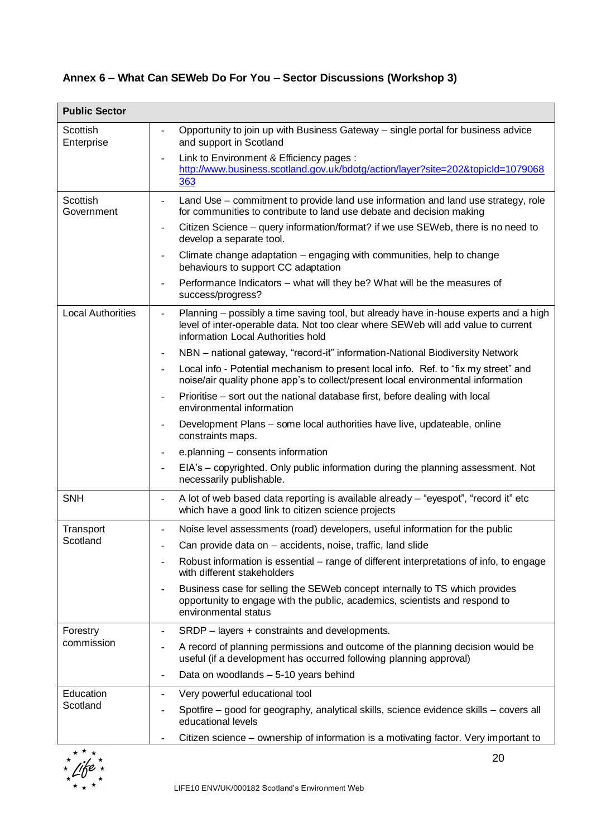# **Annex 6 – What Can SEWeb Do For You – Sector Discussions (Workshop 3)**

| <b>Public Sector</b>     |                                                                                                                                                                                                                 |
|--------------------------|-----------------------------------------------------------------------------------------------------------------------------------------------------------------------------------------------------------------|
| Scottish<br>Enterprise   | Opportunity to join up with Business Gateway - single portal for business advice<br>$\blacksquare$<br>and support in Scotland                                                                                   |
|                          | Link to Environment & Efficiency pages :<br>http://www.business.scotland.gov.uk/bdotg/action/layer?site=202&topicId=1079068<br>363                                                                              |
| Scottish<br>Government   | Land Use – commitment to provide land use information and land use strategy, role<br>for communities to contribute to land use debate and decision making                                                       |
|                          | Citizen Science – query information/format? if we use SEWeb, there is no need to<br>$\overline{\phantom{a}}$<br>develop a separate tool.                                                                        |
|                          | Climate change adaptation – engaging with communities, help to change<br>$\overline{\phantom{a}}$<br>behaviours to support CC adaptation                                                                        |
|                          | Performance Indicators - what will they be? What will be the measures of<br>success/progress?                                                                                                                   |
| <b>Local Authorities</b> | Planning - possibly a time saving tool, but already have in-house experts and a high<br>level of inter-operable data. Not too clear where SEWeb will add value to current<br>information Local Authorities hold |
|                          | NBN - national gateway, "record-it" information-National Biodiversity Network<br>$\blacksquare$                                                                                                                 |
|                          | Local info - Potential mechanism to present local info. Ref. to "fix my street" and<br>noise/air quality phone app's to collect/present local environmental information                                         |
|                          | Prioritise – sort out the national database first, before dealing with local<br>environmental information                                                                                                       |
|                          | Development Plans - some local authorities have live, updateable, online<br>$\sim$<br>constraints maps.                                                                                                         |
|                          | e.planning – consents information<br>$\overline{\phantom{a}}$                                                                                                                                                   |
|                          | EIA's - copyrighted. Only public information during the planning assessment. Not<br>necessarily publishable.                                                                                                    |
| <b>SNH</b>               | A lot of web based data reporting is available already - "eyespot", "record it" etc<br>which have a good link to citizen science projects                                                                       |
| Transport                | Noise level assessments (road) developers, useful information for the public<br>$\blacksquare$                                                                                                                  |
| Scotland                 | Can provide data on – accidents, noise, traffic, land slide                                                                                                                                                     |
|                          | Robust information is essential – range of different interpretations of info, to engage<br>$\blacksquare$<br>with different stakeholders                                                                        |
|                          | Business case for selling the SEWeb concept internally to TS which provides<br>opportunity to engage with the public, academics, scientists and respond to<br>environmental status                              |
| Forestry                 | SRDP - layers + constraints and developments.<br>$\overline{\phantom{a}}$                                                                                                                                       |
| commission               | A record of planning permissions and outcome of the planning decision would be<br>useful (if a development has occurred following planning approval)                                                            |
|                          | Data on woodlands - 5-10 years behind<br>$\overline{\phantom{a}}$                                                                                                                                               |
| Education                | Very powerful educational tool                                                                                                                                                                                  |
| Scotland                 | Spotfire – good for geography, analytical skills, science evidence skills – covers all<br>educational levels                                                                                                    |
|                          | Citizen science – ownership of information is a motivating factor. Very important to                                                                                                                            |

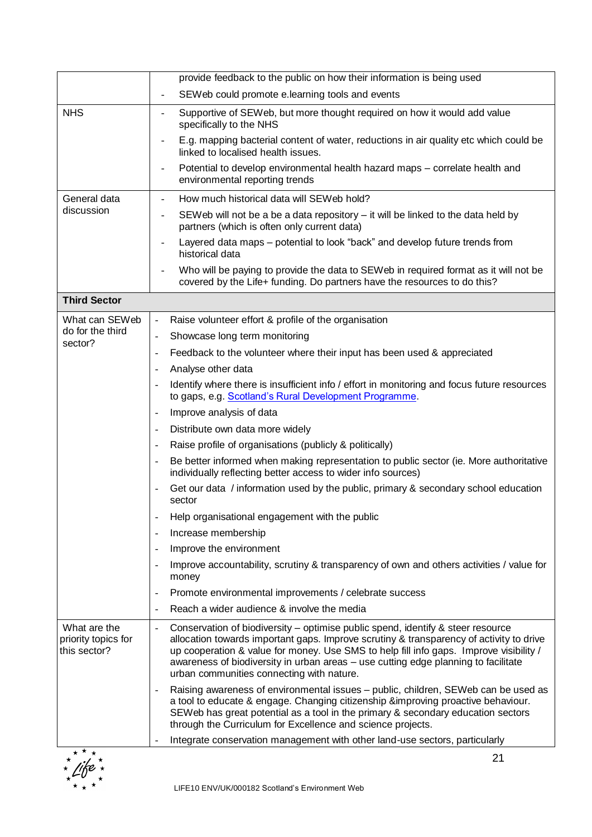|                                                     | provide feedback to the public on how their information is being used                                                                                                                                                                                                                                                                                                                                   |
|-----------------------------------------------------|---------------------------------------------------------------------------------------------------------------------------------------------------------------------------------------------------------------------------------------------------------------------------------------------------------------------------------------------------------------------------------------------------------|
|                                                     | SEWeb could promote e.learning tools and events                                                                                                                                                                                                                                                                                                                                                         |
| <b>NHS</b>                                          | Supportive of SEWeb, but more thought required on how it would add value<br>$\blacksquare$<br>specifically to the NHS                                                                                                                                                                                                                                                                                   |
|                                                     | E.g. mapping bacterial content of water, reductions in air quality etc which could be<br>linked to localised health issues.                                                                                                                                                                                                                                                                             |
|                                                     | Potential to develop environmental health hazard maps - correlate health and<br>environmental reporting trends                                                                                                                                                                                                                                                                                          |
| General data                                        | How much historical data will SEWeb hold?                                                                                                                                                                                                                                                                                                                                                               |
| discussion                                          | SEWeb will not be a be a data repository $-$ it will be linked to the data held by<br>partners (which is often only current data)                                                                                                                                                                                                                                                                       |
|                                                     | Layered data maps – potential to look "back" and develop future trends from<br>historical data                                                                                                                                                                                                                                                                                                          |
|                                                     | Who will be paying to provide the data to SEWeb in required format as it will not be<br>covered by the Life+ funding. Do partners have the resources to do this?                                                                                                                                                                                                                                        |
| <b>Third Sector</b>                                 |                                                                                                                                                                                                                                                                                                                                                                                                         |
| What can SEWeb                                      | Raise volunteer effort & profile of the organisation<br>$\blacksquare$                                                                                                                                                                                                                                                                                                                                  |
| do for the third                                    | Showcase long term monitoring<br>$\frac{1}{2}$                                                                                                                                                                                                                                                                                                                                                          |
| sector?                                             | Feedback to the volunteer where their input has been used & appreciated                                                                                                                                                                                                                                                                                                                                 |
|                                                     | Analyse other data<br>$\blacksquare$                                                                                                                                                                                                                                                                                                                                                                    |
|                                                     | Identify where there is insufficient info / effort in monitoring and focus future resources<br>to gaps, e.g. Scotland's Rural Development Programme.                                                                                                                                                                                                                                                    |
|                                                     | Improve analysis of data                                                                                                                                                                                                                                                                                                                                                                                |
|                                                     | Distribute own data more widely<br>$\overline{\phantom{a}}$                                                                                                                                                                                                                                                                                                                                             |
|                                                     | Raise profile of organisations (publicly & politically)<br>$\overline{\phantom{a}}$                                                                                                                                                                                                                                                                                                                     |
|                                                     | Be better informed when making representation to public sector (ie. More authoritative<br>individually reflecting better access to wider info sources)                                                                                                                                                                                                                                                  |
|                                                     | Get our data / information used by the public, primary & secondary school education<br>$\overline{\phantom{a}}$<br>sector                                                                                                                                                                                                                                                                               |
|                                                     | Help organisational engagement with the public                                                                                                                                                                                                                                                                                                                                                          |
|                                                     | Increase membership                                                                                                                                                                                                                                                                                                                                                                                     |
|                                                     | Improve the environment                                                                                                                                                                                                                                                                                                                                                                                 |
|                                                     | Improve accountability, scrutiny & transparency of own and others activities / value for<br>$\overline{\phantom{a}}$<br>money                                                                                                                                                                                                                                                                           |
|                                                     | Promote environmental improvements / celebrate success                                                                                                                                                                                                                                                                                                                                                  |
|                                                     | Reach a wider audience & involve the media                                                                                                                                                                                                                                                                                                                                                              |
| What are the<br>priority topics for<br>this sector? | Conservation of biodiversity - optimise public spend, identify & steer resource<br>allocation towards important gaps. Improve scrutiny & transparency of activity to drive<br>up cooperation & value for money. Use SMS to help fill info gaps. Improve visibility /<br>awareness of biodiversity in urban areas - use cutting edge planning to facilitate<br>urban communities connecting with nature. |
|                                                     | Raising awareness of environmental issues - public, children, SEWeb can be used as<br>a tool to educate & engage. Changing citizenship &improving proactive behaviour.<br>SEWeb has great potential as a tool in the primary & secondary education sectors<br>through the Curriculum for Excellence and science projects.                                                                               |
|                                                     | Integrate conservation management with other land-use sectors, particularly                                                                                                                                                                                                                                                                                                                             |